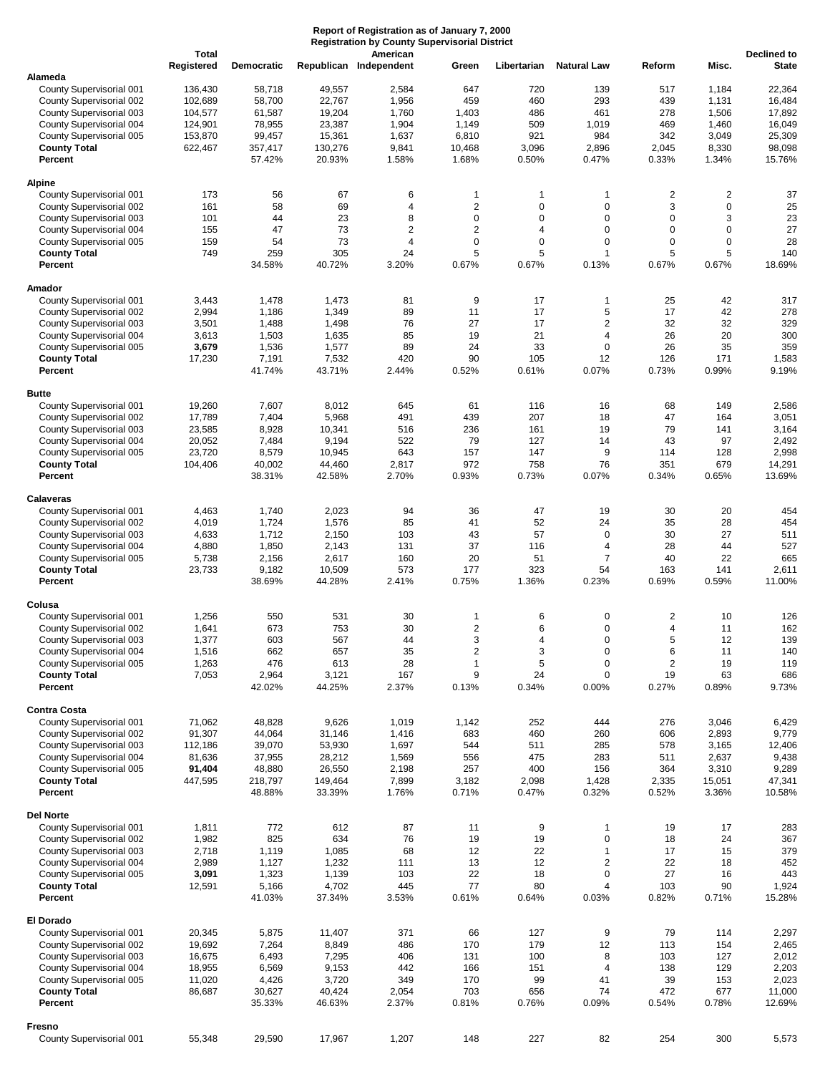## **Report of Registration as of January 7, 2000 Registration by County Supervisorial District**

|                                                      | <b>Total</b><br>Registered | <b>Democratic</b> |                  | American<br>Republican Independent | Green                    | Libertarian                | <b>Natural Law</b>         | Reform                  | Misc.            | <b>Declined to</b><br><b>State</b> |
|------------------------------------------------------|----------------------------|-------------------|------------------|------------------------------------|--------------------------|----------------------------|----------------------------|-------------------------|------------------|------------------------------------|
| Alameda                                              |                            |                   |                  |                                    |                          |                            |                            |                         |                  |                                    |
| County Supervisorial 001                             | 136,430                    | 58,718            | 49,557           | 2,584                              | 647                      | 720                        | 139                        | 517                     | 1,184            | 22,364                             |
| County Supervisorial 002                             | 102,689                    | 58,700            | 22,767           | 1,956                              | 459                      | 460                        | 293                        | 439                     | 1,131            | 16,484                             |
| County Supervisorial 003                             | 104,577                    | 61,587            | 19,204           | 1,760                              | 1,403                    | 486                        | 461                        | 278                     | 1,506            | 17,892                             |
| County Supervisorial 004                             | 124,901                    | 78,955            | 23,387           | 1,904                              | 1,149                    | 509                        | 1,019                      | 469                     | 1,460            | 16,049                             |
| County Supervisorial 005                             | 153,870                    | 99,457            | 15,361           | 1,637                              | 6,810                    | 921                        | 984                        | 342                     | 3,049            | 25,309                             |
| <b>County Total</b>                                  | 622,467                    | 357,417           | 130,276          | 9,841                              | 10,468                   | 3,096                      | 2,896                      | 2,045                   | 8,330            | 98,098                             |
| Percent                                              |                            | 57.42%            | 20.93%           | 1.58%                              | 1.68%                    | 0.50%                      | 0.47%                      | 0.33%                   | 1.34%            | 15.76%                             |
| <b>Alpine</b>                                        |                            |                   |                  |                                    |                          |                            |                            |                         |                  |                                    |
| County Supervisorial 001                             | 173                        | 56                | 67               | 6                                  | 1                        | $\mathbf 1$                | 1                          | 2                       | $\overline{c}$   | 37                                 |
| County Supervisorial 002                             | 161                        | 58                | 69               | 4                                  | $\mathbf 2$<br>$\pmb{0}$ | $\mathbf 0$<br>$\mathbf 0$ | $\mathbf 0$<br>$\mathbf 0$ | 3<br>0                  | $\mathbf 0$      | 25                                 |
| County Supervisorial 003<br>County Supervisorial 004 | 101<br>155                 | 44<br>47          | 23<br>73         | 8<br>2                             | $\mathbf 2$              | 4                          | $\mathbf 0$                | 0                       | 3<br>$\mathbf 0$ | 23<br>27                           |
| County Supervisorial 005                             | 159                        | 54                | 73               | 4                                  | $\pmb{0}$                | $\mathbf 0$                | $\mathbf 0$                | 0                       | $\mathbf 0$      | 28                                 |
| <b>County Total</b>                                  | 749                        | 259               | 305              | 24                                 | 5                        | 5                          | $\overline{1}$             | 5                       | 5                | 140                                |
| Percent                                              |                            | 34.58%            | 40.72%           | 3.20%                              | 0.67%                    | 0.67%                      | 0.13%                      | 0.67%                   | 0.67%            | 18.69%                             |
| Amador                                               |                            |                   |                  |                                    |                          |                            |                            |                         |                  |                                    |
| County Supervisorial 001                             | 3,443                      | 1,478             | 1,473            | 81                                 | 9                        | 17                         | $\mathbf{1}$               | 25                      | 42               | 317                                |
| County Supervisorial 002                             | 2,994                      | 1,186             | 1,349            | 89                                 | 11                       | 17                         | 5                          | 17                      | 42               | 278                                |
| County Supervisorial 003                             | 3,501                      | 1,488             | 1,498            | 76                                 | 27                       | 17                         | $\overline{2}$             | 32                      | 32               | 329                                |
| County Supervisorial 004                             | 3,613                      | 1,503             | 1,635            | 85                                 | 19                       | 21                         | $\overline{4}$             | 26                      | 20               | 300                                |
| County Supervisorial 005                             | 3,679                      | 1,536             | 1,577            | 89                                 | 24                       | 33                         | $\mathbf 0$                | 26                      | 35               | 359                                |
| <b>County Total</b>                                  | 17,230                     | 7,191             | 7,532            | 420                                | 90                       | 105                        | 12                         | 126                     | 171              | 1,583                              |
| Percent                                              |                            | 41.74%            | 43.71%           | 2.44%                              | 0.52%                    | 0.61%                      | 0.07%                      | 0.73%                   | 0.99%            | 9.19%                              |
| <b>Butte</b>                                         |                            |                   |                  |                                    |                          |                            |                            |                         |                  |                                    |
| County Supervisorial 001                             | 19,260                     | 7,607             | 8,012            | 645                                | 61                       | 116                        | 16                         | 68                      | 149              | 2,586                              |
| County Supervisorial 002                             | 17,789                     | 7,404             | 5,968            | 491                                | 439                      | 207                        | 18                         | 47                      | 164              | 3,051                              |
| County Supervisorial 003                             | 23,585                     | 8,928             | 10,341           | 516                                | 236                      | 161                        | 19                         | 79                      | 141              | 3,164                              |
| County Supervisorial 004                             | 20,052                     | 7,484             | 9,194            | 522                                | 79                       | 127                        | 14                         | 43                      | 97               | 2,492                              |
| County Supervisorial 005                             | 23,720                     | 8,579             | 10,945           | 643                                | 157                      | 147                        | 9                          | 114                     | 128              | 2,998                              |
| <b>County Total</b>                                  | 104,406                    | 40,002            | 44,460           | 2,817                              | 972                      | 758                        | 76                         | 351                     | 679              | 14,291                             |
| Percent                                              |                            | 38.31%            | 42.58%           | 2.70%                              | 0.93%                    | 0.73%                      | 0.07%                      | 0.34%                   | 0.65%            | 13.69%                             |
| Calaveras                                            |                            |                   |                  |                                    |                          |                            |                            |                         |                  |                                    |
| County Supervisorial 001                             | 4,463                      | 1,740             | 2,023            | 94                                 | 36                       | 47                         | 19                         | 30                      | 20               | 454                                |
| County Supervisorial 002                             | 4,019                      | 1,724             | 1,576            | 85                                 | 41                       | 52                         | 24                         | 35                      | 28               | 454                                |
| County Supervisorial 003                             | 4,633                      | 1,712             | 2,150            | 103                                | 43                       | 57                         | $\mathbf 0$                | 30                      | 27               | 511                                |
| County Supervisorial 004                             | 4,880                      | 1,850             | 2,143            | 131                                | 37                       | 116                        | $\overline{4}$             | 28                      | 44               | 527                                |
| County Supervisorial 005                             | 5,738                      | 2,156             | 2,617            | 160                                | 20                       | 51                         | $\overline{7}$             | 40                      | 22               | 665                                |
| <b>County Total</b><br>Percent                       | 23,733                     | 9,182<br>38.69%   | 10,509<br>44.28% | 573<br>2.41%                       | 177<br>0.75%             | 323<br>1.36%               | 54<br>0.23%                | 163<br>0.69%            | 141<br>0.59%     | 2,611<br>11.00%                    |
|                                                      |                            |                   |                  |                                    |                          |                            |                            |                         |                  |                                    |
| Colusa                                               |                            |                   |                  |                                    |                          |                            |                            |                         |                  |                                    |
| County Supervisorial 001                             | 1,256                      | 550               | 531              | 30                                 | 1                        | 6                          | 0                          | $\overline{\mathbf{c}}$ | 10               | 126                                |
| County Supervisorial 002                             | 1,641                      | 673               | 753              | 30                                 | $\overline{c}$           | 6                          | $\mathbf 0$                | 4                       | 11               | 162                                |
| County Supervisorial 003                             | 1,377                      | 603               | 567              | 44                                 | 3                        | 4                          | $\mathbf 0$                | 5                       | 12               | 139                                |
| County Supervisorial 004                             | 1,516                      | 662               | 657              | 35                                 | $\overline{2}$           | 3                          | $\Omega$                   | 6                       | 11               | 140                                |
| County Supervisorial 005                             | 1,263                      | 476               | 613              | 28                                 | $\mathbf{1}$             | 5                          | 0                          | 2                       | 19               | 119                                |
| <b>County Total</b><br>Percent                       | 7,053                      | 2,964<br>42.02%   | 3,121<br>44.25%  | 167<br>2.37%                       | 9<br>0.13%               | 24<br>0.34%                | $\mathbf 0$<br>0.00%       | 19<br>0.27%             | 63<br>0.89%      | 686<br>9.73%                       |
|                                                      |                            |                   |                  |                                    |                          |                            |                            |                         |                  |                                    |
| <b>Contra Costa</b><br>County Supervisorial 001      | 71,062                     | 48,828            | 9,626            | 1,019                              | 1,142                    | 252                        | 444                        | 276                     | 3,046            | 6,429                              |
| County Supervisorial 002                             | 91,307                     | 44,064            | 31,146           | 1,416                              | 683                      | 460                        | 260                        | 606                     | 2,893            | 9,779                              |
| County Supervisorial 003                             | 112,186                    | 39,070            | 53,930           | 1,697                              | 544                      | 511                        | 285                        | 578                     | 3,165            | 12,406                             |
| County Supervisorial 004                             | 81,636                     | 37,955            | 28,212           | 1,569                              | 556                      | 475                        | 283                        | 511                     | 2,637            | 9,438                              |
| County Supervisorial 005                             | 91,404                     | 48,880            | 26,550           | 2,198                              | 257                      | 400                        | 156                        | 364                     | 3,310            | 9,289                              |
| <b>County Total</b>                                  | 447,595                    | 218,797           | 149,464          | 7,899                              | 3,182                    | 2,098                      | 1,428                      | 2,335                   | 15,051           | 47,341                             |
| Percent                                              |                            | 48.88%            | 33.39%           | 1.76%                              | 0.71%                    | 0.47%                      | 0.32%                      | 0.52%                   | 3.36%            | 10.58%                             |
| <b>Del Norte</b>                                     |                            |                   |                  |                                    |                          |                            |                            |                         |                  |                                    |
| County Supervisorial 001                             | 1,811                      | 772               | 612              | 87                                 | 11                       | 9                          | $\mathbf{1}$               | 19                      | 17               | 283                                |
| County Supervisorial 002                             | 1,982                      | 825               | 634              | 76                                 | 19                       | 19                         | $\pmb{0}$                  | 18                      | 24               | 367                                |
| County Supervisorial 003                             | 2,718                      | 1,119             | 1,085            | 68                                 | 12                       | 22                         | $\mathbf{1}$               | 17                      | 15               | 379                                |
| County Supervisorial 004                             | 2,989                      | 1,127             | 1,232            | 111                                | 13                       | 12                         | $\overline{2}$             | 22                      | 18               | 452                                |
| County Supervisorial 005                             | 3,091                      | 1,323             | 1,139            | 103                                | 22                       | 18                         | $\mathbf 0$                | 27                      | 16               | 443                                |
| <b>County Total</b><br>Percent                       | 12,591                     | 5,166<br>41.03%   | 4,702<br>37.34%  | 445<br>3.53%                       | 77<br>0.61%              | 80<br>0.64%                | $\overline{4}$<br>0.03%    | 103<br>0.82%            | 90<br>0.71%      | 1,924<br>15.28%                    |
|                                                      |                            |                   |                  |                                    |                          |                            |                            |                         |                  |                                    |
| <b>El Dorado</b><br>County Supervisorial 001         | 20,345                     | 5,875             | 11,407           | 371                                | 66                       | 127                        | 9                          | 79                      | 114              | 2,297                              |
| County Supervisorial 002                             | 19,692                     | 7,264             | 8,849            | 486                                | 170                      | 179                        | 12                         | 113                     | 154              | 2,465                              |
| County Supervisorial 003                             | 16,675                     | 6,493             | 7,295            | 406                                | 131                      | 100                        | 8                          | 103                     | 127              | 2,012                              |
| County Supervisorial 004                             | 18,955                     | 6,569             | 9,153            | 442                                | 166                      | 151                        | 4                          | 138                     | 129              | 2,203                              |
| County Supervisorial 005                             | 11,020                     | 4,426             | 3,720            | 349                                | 170                      | 99                         | 41                         | 39                      | 153              | 2,023                              |
| <b>County Total</b>                                  | 86,687                     | 30,627            | 40,424           | 2,054                              | 703                      | 656                        | 74                         | 472                     | 677              | 11,000                             |
| Percent                                              |                            | 35.33%            | 46.63%           | 2.37%                              | 0.81%                    | 0.76%                      | 0.09%                      | 0.54%                   | 0.78%            | 12.69%                             |
| Fresno                                               |                            |                   |                  |                                    |                          |                            |                            |                         |                  |                                    |
| County Supervisorial 001                             | 55,348                     | 29,590            | 17,967           | 1,207                              | 148                      | 227                        | 82                         | 254                     | 300              | 5,573                              |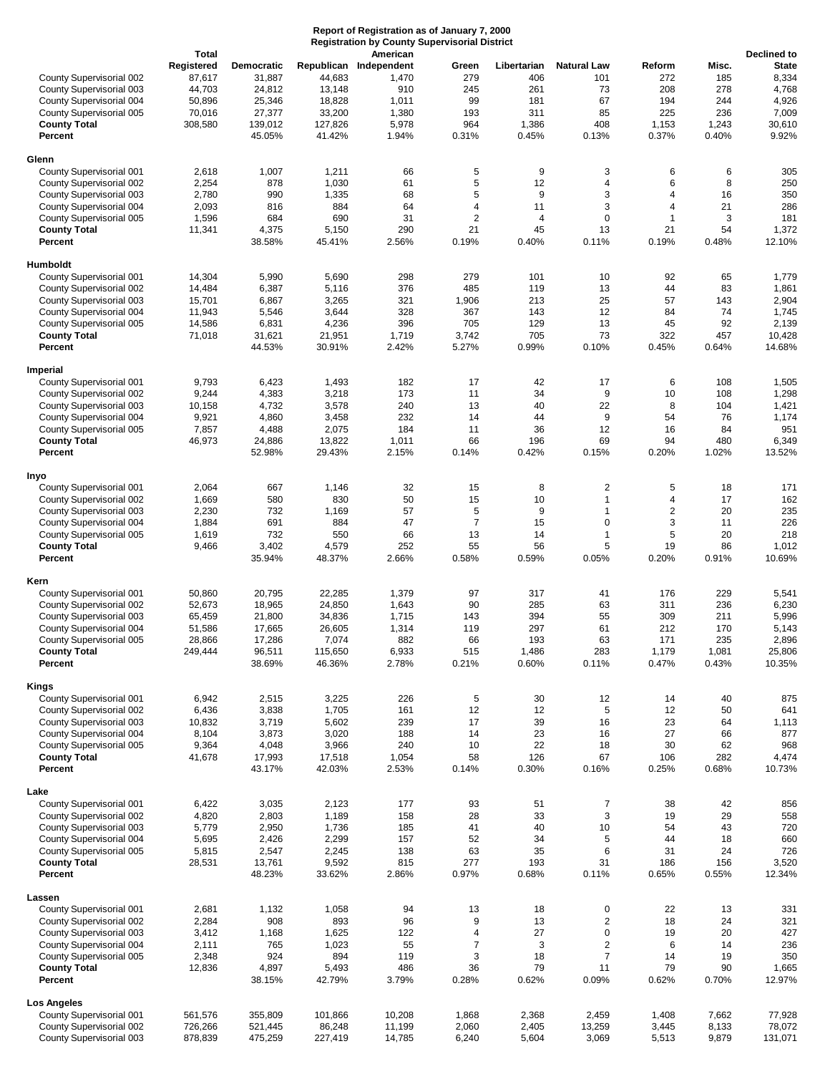|                                                                                                                                                                                        | <b>Total</b>                                                  |                                                                                |                                                                    | <b>Registration by County Supervisorial District</b><br>American           |                                                      |                                                           |                                                                                |                                                            |                                                     | <b>Declined to</b>                                                  |
|----------------------------------------------------------------------------------------------------------------------------------------------------------------------------------------|---------------------------------------------------------------|--------------------------------------------------------------------------------|--------------------------------------------------------------------|----------------------------------------------------------------------------|------------------------------------------------------|-----------------------------------------------------------|--------------------------------------------------------------------------------|------------------------------------------------------------|-----------------------------------------------------|---------------------------------------------------------------------|
| County Supervisorial 002<br>County Supervisorial 003<br>County Supervisorial 004<br>County Supervisorial 005<br><b>County Total</b><br>Percent                                         | Registered<br>87,617<br>44,703<br>50,896<br>70,016<br>308,580 | <b>Democratic</b><br>31,887<br>24,812<br>25,346<br>27,377<br>139,012<br>45.05% | 44,683<br>13,148<br>18,828<br>33,200<br>127,826<br>41.42%          | Republican Independent<br>1,470<br>910<br>1,011<br>1,380<br>5,978<br>1.94% | Green<br>279<br>245<br>99<br>193<br>964<br>0.31%     | Libertarian<br>406<br>261<br>181<br>311<br>1,386<br>0.45% | <b>Natural Law</b><br>101<br>73<br>67<br>85<br>408<br>0.13%                    | Reform<br>272<br>208<br>194<br>225<br>1,153<br>0.37%       | Misc.<br>185<br>278<br>244<br>236<br>1,243<br>0.40% | <b>State</b><br>8,334<br>4,768<br>4,926<br>7,009<br>30,610<br>9.92% |
| Glenn                                                                                                                                                                                  |                                                               |                                                                                |                                                                    |                                                                            |                                                      |                                                           |                                                                                |                                                            |                                                     |                                                                     |
| County Supervisorial 001<br>County Supervisorial 002<br>County Supervisorial 003<br>County Supervisorial 004<br>County Supervisorial 005<br><b>County Total</b><br>Percent             | 2,618<br>2,254<br>2,780<br>2,093<br>1,596<br>11,341           | 1,007<br>878<br>990<br>816<br>684<br>4,375<br>38.58%                           | 1,211<br>1,030<br>1,335<br>884<br>690<br>5,150<br>45.41%           | 66<br>61<br>68<br>64<br>31<br>290<br>2.56%                                 | 5<br>5<br>5<br>4<br>2<br>21<br>0.19%                 | 9<br>12<br>9<br>11<br>4<br>45<br>0.40%                    | 3<br>$\overline{4}$<br>3<br>3<br>$\mathbf 0$<br>13<br>0.11%                    | 6<br>6<br>4<br>4<br>1<br>21<br>0.19%                       | 6<br>8<br>16<br>21<br>3<br>54<br>0.48%              | 305<br>250<br>350<br>286<br>181<br>1,372<br>12.10%                  |
|                                                                                                                                                                                        |                                                               |                                                                                |                                                                    |                                                                            |                                                      |                                                           |                                                                                |                                                            |                                                     |                                                                     |
| Humboldt<br>County Supervisorial 001<br>County Supervisorial 002<br>County Supervisorial 003<br>County Supervisorial 004<br>County Supervisorial 005<br><b>County Total</b><br>Percent | 14,304<br>14,484<br>15,701<br>11,943<br>14,586<br>71,018      | 5,990<br>6,387<br>6,867<br>5,546<br>6,831<br>31,621<br>44.53%                  | 5,690<br>5,116<br>3,265<br>3,644<br>4,236<br>21,951<br>30.91%      | 298<br>376<br>321<br>328<br>396<br>1,719<br>2.42%                          | 279<br>485<br>1,906<br>367<br>705<br>3,742<br>5.27%  | 101<br>119<br>213<br>143<br>129<br>705<br>0.99%           | 10<br>13<br>25<br>12<br>13<br>73<br>0.10%                                      | 92<br>44<br>57<br>84<br>45<br>322<br>0.45%                 | 65<br>83<br>143<br>74<br>92<br>457<br>0.64%         | 1,779<br>1,861<br>2,904<br>1,745<br>2,139<br>10,428<br>14.68%       |
| Imperial                                                                                                                                                                               |                                                               |                                                                                |                                                                    |                                                                            |                                                      |                                                           |                                                                                |                                                            |                                                     |                                                                     |
| County Supervisorial 001<br>County Supervisorial 002<br>County Supervisorial 003<br>County Supervisorial 004<br>County Supervisorial 005<br><b>County Total</b><br>Percent             | 9,793<br>9,244<br>10,158<br>9,921<br>7,857<br>46,973          | 6,423<br>4,383<br>4,732<br>4,860<br>4,488<br>24,886<br>52.98%                  | 1,493<br>3,218<br>3,578<br>3,458<br>2,075<br>13,822<br>29.43%      | 182<br>173<br>240<br>232<br>184<br>1,011<br>2.15%                          | 17<br>11<br>13<br>14<br>11<br>66<br>0.14%            | 42<br>34<br>40<br>44<br>36<br>196<br>0.42%                | 17<br>9<br>22<br>9<br>12<br>69<br>0.15%                                        | 6<br>10<br>8<br>54<br>16<br>94<br>0.20%                    | 108<br>108<br>104<br>76<br>84<br>480<br>1.02%       | 1,505<br>1,298<br>1,421<br>1,174<br>951<br>6,349<br>13.52%          |
| Inyo                                                                                                                                                                                   |                                                               |                                                                                |                                                                    |                                                                            |                                                      |                                                           |                                                                                |                                                            |                                                     |                                                                     |
| County Supervisorial 001<br>County Supervisorial 002<br>County Supervisorial 003<br>County Supervisorial 004<br>County Supervisorial 005<br><b>County Total</b><br>Percent             | 2,064<br>1,669<br>2,230<br>1,884<br>1,619<br>9,466            | 667<br>580<br>732<br>691<br>732<br>3,402<br>35.94%                             | 1,146<br>830<br>1,169<br>884<br>550<br>4,579<br>48.37%             | 32<br>50<br>57<br>47<br>66<br>252<br>2.66%                                 | 15<br>15<br>5<br>$\overline{7}$<br>13<br>55<br>0.58% | 8<br>10<br>9<br>15<br>14<br>56<br>0.59%                   | 2<br>$\mathbf{1}$<br>$\mathbf{1}$<br>$\mathbf 0$<br>$\mathbf{1}$<br>5<br>0.05% | 5<br>4<br>$\overline{\mathbf{c}}$<br>3<br>5<br>19<br>0.20% | 18<br>17<br>20<br>11<br>20<br>86<br>0.91%           | 171<br>162<br>235<br>226<br>218<br>1,012<br>10.69%                  |
|                                                                                                                                                                                        |                                                               |                                                                                |                                                                    |                                                                            |                                                      |                                                           |                                                                                |                                                            |                                                     |                                                                     |
| Kern<br>County Supervisorial 001<br>County Supervisorial 002<br>County Supervisorial 003<br>County Supervisorial 004<br>County Supervisorial 005<br><b>County Total</b><br>Percent     | 50,860<br>52,673<br>65,459<br>51,586<br>28,866<br>249,444     | 20,795<br>18,965<br>21,800<br>17,665<br>17,286<br>96,511<br>38.69%             | 22,285<br>24,850<br>34,836<br>26,605<br>7,074<br>115,650<br>46.36% | 1,379<br>1,643<br>1,715<br>1,314<br>882<br>6,933<br>2.78%                  | 97<br>90<br>143<br>119<br>66<br>515<br>0.21%         | 317<br>285<br>394<br>297<br>193<br>1,486<br>0.60%         | 41<br>63<br>55<br>61<br>63<br>283<br>0.11%                                     | 176<br>311<br>309<br>212<br>171<br>1,179<br>0.47%          | 229<br>236<br>211<br>170<br>235<br>1,081<br>0.43%   | 5,541<br>6,230<br>5,996<br>5,143<br>2,896<br>25,806<br>10.35%       |
| Kings                                                                                                                                                                                  |                                                               |                                                                                |                                                                    |                                                                            |                                                      |                                                           |                                                                                |                                                            |                                                     |                                                                     |
| County Supervisorial 001<br>County Supervisorial 002<br>County Supervisorial 003<br>County Supervisorial 004<br>County Supervisorial 005<br><b>County Total</b><br>Percent             | 6,942<br>6,436<br>10,832<br>8,104<br>9,364<br>41,678          | 2,515<br>3,838<br>3,719<br>3,873<br>4,048<br>17,993<br>43.17%                  | 3,225<br>1,705<br>5,602<br>3,020<br>3,966<br>17,518<br>42.03%      | 226<br>161<br>239<br>188<br>240<br>1,054<br>2.53%                          | 5<br>12<br>17<br>14<br>10<br>58<br>0.14%             | 30<br>12<br>39<br>23<br>22<br>126<br>0.30%                | 12<br>5<br>16<br>16<br>18<br>67<br>0.16%                                       | 14<br>12<br>23<br>27<br>30<br>106<br>0.25%                 | 40<br>50<br>64<br>66<br>62<br>282<br>0.68%          | 875<br>641<br>1,113<br>877<br>968<br>4,474<br>10.73%                |
| Lake                                                                                                                                                                                   |                                                               |                                                                                |                                                                    |                                                                            |                                                      |                                                           |                                                                                |                                                            |                                                     |                                                                     |
| County Supervisorial 001<br>County Supervisorial 002<br>County Supervisorial 003<br>County Supervisorial 004<br>County Supervisorial 005<br><b>County Total</b><br>Percent             | 6,422<br>4,820<br>5,779<br>5,695<br>5,815<br>28,531           | 3,035<br>2,803<br>2,950<br>2,426<br>2,547<br>13,761<br>48.23%                  | 2,123<br>1,189<br>1,736<br>2,299<br>2,245<br>9,592<br>33.62%       | 177<br>158<br>185<br>157<br>138<br>815<br>2.86%                            | 93<br>28<br>41<br>52<br>63<br>277<br>0.97%           | 51<br>33<br>40<br>34<br>35<br>193<br>0.68%                | 7<br>3<br>10<br>5<br>6<br>31<br>0.11%                                          | 38<br>19<br>54<br>44<br>31<br>186<br>0.65%                 | 42<br>29<br>43<br>18<br>24<br>156<br>0.55%          | 856<br>558<br>720<br>660<br>726<br>3,520<br>12.34%                  |
|                                                                                                                                                                                        |                                                               |                                                                                |                                                                    |                                                                            |                                                      |                                                           |                                                                                |                                                            |                                                     |                                                                     |
| Lassen<br>County Supervisorial 001<br>County Supervisorial 002<br>County Supervisorial 003<br>County Supervisorial 004<br>County Supervisorial 005<br><b>County Total</b><br>Percent   | 2,681<br>2,284<br>3,412<br>2,111<br>2,348<br>12,836           | 1,132<br>908<br>1,168<br>765<br>924<br>4,897<br>38.15%                         | 1,058<br>893<br>1,625<br>1,023<br>894<br>5,493<br>42.79%           | 94<br>96<br>122<br>55<br>119<br>486<br>3.79%                               | 13<br>9<br>4<br>7<br>3<br>36<br>0.28%                | 18<br>13<br>27<br>3<br>18<br>79<br>0.62%                  | 0<br>$\overline{c}$<br>0<br>$\overline{c}$<br>$\overline{7}$<br>11<br>0.09%    | 22<br>18<br>19<br>6<br>14<br>79<br>0.62%                   | 13<br>24<br>20<br>14<br>19<br>90<br>0.70%           | 331<br>321<br>427<br>236<br>350<br>1,665<br>12.97%                  |
| Los Angeles                                                                                                                                                                            |                                                               |                                                                                |                                                                    |                                                                            |                                                      |                                                           |                                                                                |                                                            |                                                     |                                                                     |
| County Supervisorial 001<br>County Supervisorial 002<br>County Supervisorial 003                                                                                                       | 561,576<br>726,266<br>878,839                                 | 355,809<br>521,445<br>475,259                                                  | 101,866<br>86,248<br>227,419                                       | 10,208<br>11,199<br>14,785                                                 | 1,868<br>2,060<br>6,240                              | 2,368<br>2,405<br>5,604                                   | 2,459<br>13,259<br>3,069                                                       | 1,408<br>3,445<br>5,513                                    | 7,662<br>8,133<br>9,879                             | 77,928<br>78,072<br>131,071                                         |

**Report of Registration as of January 7, 2000**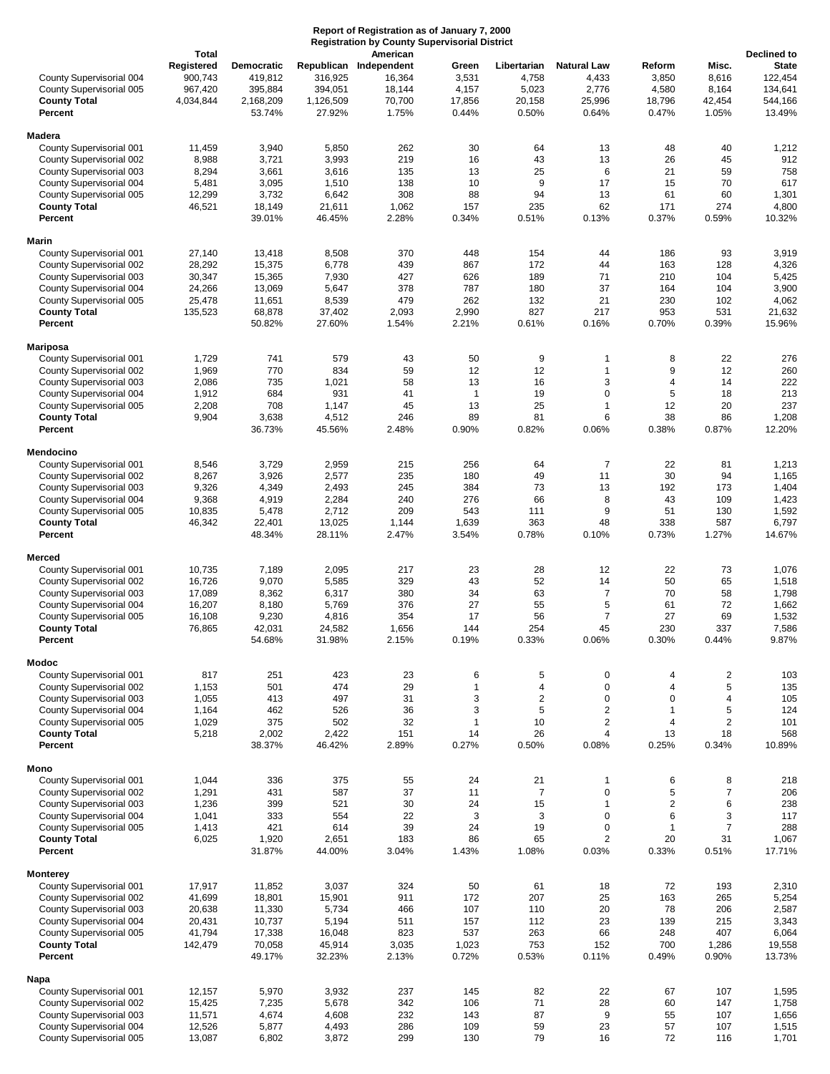|                                                      | Report of Registration as of January 7, 2000<br><b>Registration by County Supervisorial District</b><br><b>Total</b><br>American |                                  |                    |                                            |                         |                               |                                      |                          |                         |                                                   |
|------------------------------------------------------|----------------------------------------------------------------------------------------------------------------------------------|----------------------------------|--------------------|--------------------------------------------|-------------------------|-------------------------------|--------------------------------------|--------------------------|-------------------------|---------------------------------------------------|
| County Supervisorial 004<br>County Supervisorial 005 | Registered<br>900,743<br>967,420                                                                                                 | Democratic<br>419,812<br>395,884 | 316,925<br>394,051 | Republican Independent<br>16,364<br>18,144 | Green<br>3,531<br>4,157 | Libertarian<br>4,758<br>5,023 | <b>Natural Law</b><br>4,433<br>2,776 | Reform<br>3,850<br>4,580 | Misc.<br>8,616<br>8,164 | Declined to<br><b>State</b><br>122,454<br>134,641 |
| <b>County Total</b>                                  | 4,034,844                                                                                                                        | 2,168,209                        | 1,126,509          | 70,700                                     | 17,856                  | 20,158                        | 25,996                               | 18,796                   | 42,454                  | 544,166                                           |
| Percent                                              |                                                                                                                                  | 53.74%                           | 27.92%             | 1.75%                                      | 0.44%                   | 0.50%                         | 0.64%                                | 0.47%                    | 1.05%                   | 13.49%                                            |
| Madera                                               |                                                                                                                                  |                                  |                    |                                            |                         |                               |                                      |                          |                         |                                                   |
| County Supervisorial 001                             | 11,459                                                                                                                           | 3,940                            | 5,850              | 262<br>219                                 | 30<br>16                | 64                            | 13<br>13                             | 48<br>26                 | 40<br>45                | 1,212<br>912                                      |
| County Supervisorial 002<br>County Supervisorial 003 | 8,988<br>8,294                                                                                                                   | 3,721<br>3,661                   | 3,993<br>3,616     | 135                                        | 13                      | 43<br>25                      | 6                                    | 21                       | 59                      | 758                                               |
| County Supervisorial 004                             | 5,481                                                                                                                            | 3,095                            | 1,510              | 138                                        | 10                      | 9                             | 17                                   | 15                       | 70                      | 617                                               |
| County Supervisorial 005                             | 12,299                                                                                                                           | 3,732                            | 6,642              | 308                                        | 88                      | 94                            | 13                                   | 61                       | 60                      | 1,301                                             |
| <b>County Total</b><br>Percent                       | 46,521                                                                                                                           | 18,149<br>39.01%                 | 21,611<br>46.45%   | 1,062<br>2.28%                             | 157<br>0.34%            | 235<br>0.51%                  | 62<br>0.13%                          | 171<br>0.37%             | 274<br>0.59%            | 4,800<br>10.32%                                   |
|                                                      |                                                                                                                                  |                                  |                    |                                            |                         |                               |                                      |                          |                         |                                                   |
| Marin<br>County Supervisorial 001                    | 27,140                                                                                                                           | 13,418                           | 8,508              | 370                                        | 448                     | 154                           | 44                                   | 186                      | 93                      | 3,919                                             |
| County Supervisorial 002                             | 28,292                                                                                                                           | 15,375                           | 6,778              | 439                                        | 867                     | 172                           | 44                                   | 163                      | 128                     | 4,326                                             |
| County Supervisorial 003                             | 30,347                                                                                                                           | 15,365                           | 7,930              | 427                                        | 626                     | 189                           | 71                                   | 210                      | 104                     | 5,425                                             |
| County Supervisorial 004                             | 24,266                                                                                                                           | 13,069                           | 5,647              | 378                                        | 787                     | 180                           | 37                                   | 164                      | 104                     | 3,900                                             |
| County Supervisorial 005                             | 25,478                                                                                                                           | 11,651                           | 8,539              | 479                                        | 262                     | 132<br>827                    | 21<br>217                            | 230<br>953               | 102                     | 4,062                                             |
| <b>County Total</b><br>Percent                       | 135,523                                                                                                                          | 68,878<br>50.82%                 | 37,402<br>27.60%   | 2,093<br>1.54%                             | 2,990<br>2.21%          | 0.61%                         | 0.16%                                | 0.70%                    | 531<br>0.39%            | 21,632<br>15.96%                                  |
|                                                      |                                                                                                                                  |                                  |                    |                                            |                         |                               |                                      |                          |                         |                                                   |
| Mariposa<br>County Supervisorial 001                 | 1,729                                                                                                                            | 741                              | 579                | 43                                         | 50                      | 9                             | 1                                    | 8                        | 22                      | 276                                               |
| County Supervisorial 002                             | 1,969                                                                                                                            | 770                              | 834                | 59                                         | 12                      | 12                            | 1                                    | 9                        | 12                      | 260                                               |
| County Supervisorial 003                             | 2,086                                                                                                                            | 735                              | 1,021              | 58                                         | 13                      | 16                            | 3                                    | 4                        | 14                      | 222                                               |
| County Supervisorial 004                             | 1,912                                                                                                                            | 684                              | 931                | 41                                         | $\mathbf{1}$            | 19                            | $\mathbf 0$                          | 5                        | 18                      | 213                                               |
| County Supervisorial 005<br><b>County Total</b>      | 2,208<br>9,904                                                                                                                   | 708<br>3,638                     | 1,147<br>4,512     | 45<br>246                                  | 13<br>89                | 25<br>81                      | $\mathbf{1}$<br>6                    | 12<br>38                 | 20<br>86                | 237<br>1,208                                      |
| Percent                                              |                                                                                                                                  | 36.73%                           | 45.56%             | 2.48%                                      | 0.90%                   | 0.82%                         | 0.06%                                | 0.38%                    | 0.87%                   | 12.20%                                            |
|                                                      |                                                                                                                                  |                                  |                    |                                            |                         |                               |                                      |                          |                         |                                                   |
| Mendocino<br>County Supervisorial 001                | 8,546                                                                                                                            | 3,729                            | 2,959              | 215                                        | 256                     | 64                            | 7                                    | 22                       | 81                      | 1,213                                             |
| County Supervisorial 002                             | 8,267                                                                                                                            | 3,926                            | 2,577              | 235                                        | 180                     | 49                            | 11                                   | 30                       | 94                      | 1,165                                             |
| County Supervisorial 003                             | 9,326                                                                                                                            | 4,349                            | 2,493              | 245                                        | 384                     | 73                            | 13                                   | 192                      | 173                     | 1,404                                             |
| County Supervisorial 004                             | 9,368                                                                                                                            | 4,919                            | 2,284              | 240                                        | 276                     | 66                            | 8                                    | 43                       | 109                     | 1,423                                             |
| County Supervisorial 005<br><b>County Total</b>      | 10,835<br>46,342                                                                                                                 | 5,478<br>22,401                  | 2,712<br>13,025    | 209<br>1,144                               | 543<br>1,639            | 111<br>363                    | 9<br>48                              | 51<br>338                | 130<br>587              | 1,592<br>6,797                                    |
| Percent                                              |                                                                                                                                  | 48.34%                           | 28.11%             | 2.47%                                      | 3.54%                   | 0.78%                         | 0.10%                                | 0.73%                    | 1.27%                   | 14.67%                                            |
|                                                      |                                                                                                                                  |                                  |                    |                                            |                         |                               |                                      |                          |                         |                                                   |
| Merced<br>County Supervisorial 001                   | 10,735                                                                                                                           | 7,189                            | 2,095              | 217                                        | 23                      | 28                            | 12                                   | 22                       | 73                      | 1,076                                             |
| County Supervisorial 002                             | 16,726                                                                                                                           | 9,070                            | 5,585              | 329                                        | 43                      | 52                            | 14                                   | 50                       | 65                      | 1,518                                             |
| County Supervisorial 003                             | 17,089                                                                                                                           | 8,362                            | 6,317              | 380                                        | 34                      | 63                            | $\overline{7}$                       | 70                       | 58                      | 1,798                                             |
| County Supervisorial 004                             | 16,207                                                                                                                           | 8,180                            | 5,769              | 376                                        | 27                      | 55                            | 5                                    | 61                       | 72                      | 1,662                                             |
| County Supervisorial 005<br><b>County Total</b>      | 16,108<br>76,865                                                                                                                 | 9,230<br>42,031                  | 4,816<br>24,582    | 354<br>1,656                               | 17<br>144               | 56<br>254                     | $\overline{7}$<br>45                 | 27<br>230                | 69<br>337               | 1,532<br>7,586                                    |
| Percent                                              |                                                                                                                                  | 54.68%                           | 31.98%             | 2.15%                                      | 0.19%                   | 0.33%                         | 0.06%                                | 0.30%                    | 0.44%                   | 9.87%                                             |
| Modoc                                                |                                                                                                                                  |                                  |                    |                                            |                         |                               |                                      |                          |                         |                                                   |
| County Supervisorial 001                             | 817                                                                                                                              | 251                              | 423                | 23                                         | 6                       | 5                             | 0                                    | 4                        | $\overline{c}$          | 103                                               |
| County Supervisorial 002                             | 1,153                                                                                                                            | 501                              | 474                | 29                                         | $\mathbf{1}$            | 4                             | $\mathbf 0$                          | 4                        | 5                       | 135                                               |
| County Supervisorial 003                             | 1,055                                                                                                                            | 413                              | 497                | 31                                         | 3                       | $\overline{2}$                | $\mathbf 0$                          | $\mathbf 0$              | 4                       | 105                                               |
| County Supervisorial 004<br>County Supervisorial 005 | 1,164<br>1,029                                                                                                                   | 462<br>375                       | 526<br>502         | 36<br>32                                   | 3<br>$\mathbf{1}$       | 5<br>10                       | 2<br>$\overline{2}$                  | $\mathbf{1}$<br>4        | 5<br>$\overline{2}$     | 124<br>101                                        |
| <b>County Total</b>                                  | 5,218                                                                                                                            | 2,002                            | 2,422              | 151                                        | 14                      | 26                            | 4                                    | 13                       | 18                      | 568                                               |
| Percent                                              |                                                                                                                                  | 38.37%                           | 46.42%             | 2.89%                                      | 0.27%                   | 0.50%                         | 0.08%                                | 0.25%                    | 0.34%                   | 10.89%                                            |
| Mono                                                 |                                                                                                                                  |                                  |                    |                                            |                         |                               |                                      |                          |                         |                                                   |
| County Supervisorial 001                             | 1,044                                                                                                                            | 336                              | 375                | 55                                         | 24                      | 21                            | 1                                    | 6                        | 8                       | 218                                               |
| County Supervisorial 002                             | 1,291                                                                                                                            | 431                              | 587                | 37                                         | 11                      | $\overline{7}$                | $\mathbf 0$                          | 5                        | $\overline{7}$          | 206                                               |
| County Supervisorial 003                             | 1,236                                                                                                                            | 399                              | 521                | 30<br>22                                   | 24<br>3                 | 15                            | $\mathbf{1}$<br>$\mathbf 0$          | 2                        | 6                       | 238                                               |
| County Supervisorial 004<br>County Supervisorial 005 | 1,041<br>1,413                                                                                                                   | 333<br>421                       | 554<br>614         | 39                                         | 24                      | 3<br>19                       | $\mathbf 0$                          | 6<br>$\mathbf{1}$        | 3<br>$\overline{7}$     | 117<br>288                                        |
| <b>County Total</b>                                  | 6,025                                                                                                                            | 1,920                            | 2,651              | 183                                        | 86                      | 65                            | $\overline{2}$                       | 20                       | 31                      | 1,067                                             |
| Percent                                              |                                                                                                                                  | 31.87%                           | 44.00%             | 3.04%                                      | 1.43%                   | 1.08%                         | 0.03%                                | 0.33%                    | 0.51%                   | 17.71%                                            |
| <b>Monterey</b>                                      |                                                                                                                                  |                                  |                    |                                            |                         |                               |                                      |                          |                         |                                                   |
| County Supervisorial 001                             | 17,917                                                                                                                           | 11,852                           | 3,037              | 324                                        | 50                      | 61                            | 18                                   | 72                       | 193                     | 2,310                                             |
| County Supervisorial 002                             | 41,699                                                                                                                           | 18,801                           | 15,901             | 911                                        | 172                     | 207                           | 25                                   | 163                      | 265                     | 5,254                                             |
| County Supervisorial 003                             | 20,638                                                                                                                           | 11,330                           | 5,734              | 466                                        | 107                     | 110                           | 20                                   | 78                       | 206                     | 2,587                                             |
| County Supervisorial 004<br>County Supervisorial 005 | 20,431<br>41,794                                                                                                                 | 10,737<br>17,338                 | 5,194<br>16,048    | 511<br>823                                 | 157<br>537              | 112<br>263                    | 23<br>66                             | 139<br>248               | 215<br>407              | 3,343<br>6,064                                    |
| <b>County Total</b>                                  | 142,479                                                                                                                          | 70,058                           | 45,914             | 3,035                                      | 1,023                   | 753                           | 152                                  | 700                      | 1,286                   | 19,558                                            |
| Percent                                              |                                                                                                                                  | 49.17%                           | 32.23%             | 2.13%                                      | 0.72%                   | 0.53%                         | 0.11%                                | 0.49%                    | 0.90%                   | 13.73%                                            |
| Napa                                                 |                                                                                                                                  |                                  |                    |                                            |                         |                               |                                      |                          |                         |                                                   |
| County Supervisorial 001                             | 12,157                                                                                                                           | 5,970                            | 3,932              | 237                                        | 145                     | 82                            | 22                                   | 67                       | 107                     | 1,595                                             |
| County Supervisorial 002                             | 15,425                                                                                                                           | 7,235                            | 5,678              | 342                                        | 106                     | 71                            | 28                                   | 60                       | 147                     | 1,758                                             |
| County Supervisorial 003<br>County Supervisorial 004 | 11,571<br>12,526                                                                                                                 | 4,674<br>5,877                   | 4,608<br>4,493     | 232<br>286                                 | 143<br>109              | 87<br>59                      | 9<br>23                              | 55<br>57                 | 107<br>107              | 1,656<br>1,515                                    |
| County Supervisorial 005                             | 13,087                                                                                                                           | 6,802                            | 3,872              | 299                                        | 130                     | 79                            | 16                                   | 72                       | 116                     | 1,701                                             |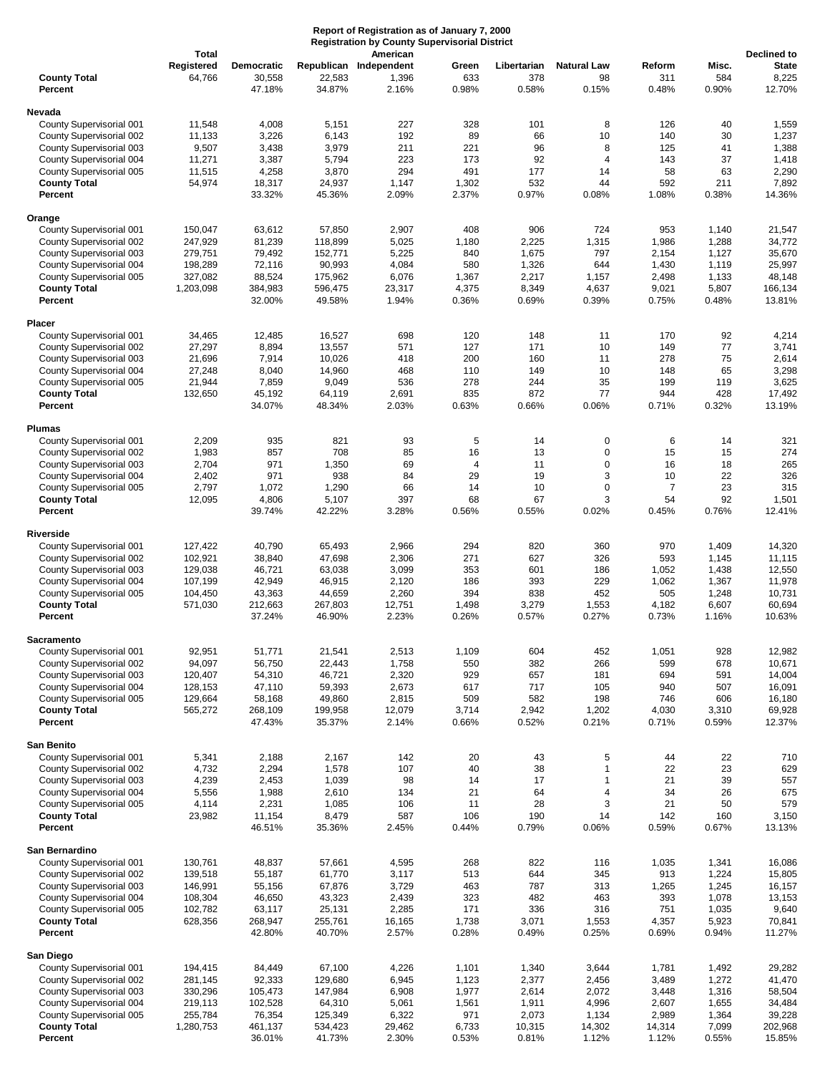| Report of Registration as of January 7, 2000<br><b>Registration by County Supervisorial District</b><br>American<br><b>Total</b> |                      |                                       |                    |                                          |                       |                             |                                   |                        |                       | Declined to                     |
|----------------------------------------------------------------------------------------------------------------------------------|----------------------|---------------------------------------|--------------------|------------------------------------------|-----------------------|-----------------------------|-----------------------------------|------------------------|-----------------------|---------------------------------|
| <b>County Total</b><br>Percent                                                                                                   | Registered<br>64,766 | <b>Democratic</b><br>30,558<br>47.18% | 22,583<br>34.87%   | Republican Independent<br>1,396<br>2.16% | Green<br>633<br>0.98% | Libertarian<br>378<br>0.58% | <b>Natural Law</b><br>98<br>0.15% | Reform<br>311<br>0.48% | Misc.<br>584<br>0.90% | <b>State</b><br>8,225<br>12.70% |
| Nevada                                                                                                                           |                      |                                       |                    |                                          |                       |                             |                                   |                        |                       |                                 |
| County Supervisorial 001                                                                                                         | 11,548               | 4,008                                 | 5,151              | 227                                      | 328                   | 101                         | 8                                 | 126                    | 40                    | 1,559                           |
| County Supervisorial 002                                                                                                         | 11,133               | 3,226                                 | 6,143              | 192                                      | 89                    | 66                          | 10                                | 140                    | 30                    | 1,237                           |
| County Supervisorial 003                                                                                                         | 9,507                | 3,438                                 | 3,979              | 211                                      | 221                   | 96                          | 8                                 | 125                    | 41                    | 1,388                           |
| County Supervisorial 004                                                                                                         | 11,271               | 3,387                                 | 5,794              | 223                                      | 173                   | 92                          | $\overline{4}$                    | 143                    | 37                    | 1,418                           |
| County Supervisorial 005                                                                                                         | 11,515               | 4,258                                 | 3,870              | 294                                      | 491                   | 177                         | 14                                | 58                     | 63                    | 2,290                           |
| <b>County Total</b><br>Percent                                                                                                   | 54,974               | 18,317<br>33.32%                      | 24,937<br>45.36%   | 1,147<br>2.09%                           | 1,302<br>2.37%        | 532<br>0.97%                | 44<br>0.08%                       | 592<br>1.08%           | 211<br>0.38%          | 7,892<br>14.36%                 |
| Orange                                                                                                                           |                      |                                       |                    |                                          |                       |                             |                                   |                        |                       |                                 |
| County Supervisorial 001                                                                                                         | 150,047              | 63,612                                | 57,850             | 2,907                                    | 408                   | 906                         | 724                               | 953                    | 1,140                 | 21,547                          |
| County Supervisorial 002                                                                                                         | 247,929              | 81,239                                | 118,899            | 5,025                                    | 1,180                 | 2,225                       | 1,315                             | 1,986                  | 1,288                 | 34,772                          |
| County Supervisorial 003                                                                                                         | 279,751              | 79,492                                | 152,771            | 5,225                                    | 840                   | 1,675                       | 797                               | 2,154                  | 1,127                 | 35,670                          |
| County Supervisorial 004                                                                                                         | 198,289              | 72,116                                | 90,993             | 4,084                                    | 580                   | 1,326                       | 644                               | 1,430                  | 1,119                 | 25,997                          |
| County Supervisorial 005<br><b>County Total</b>                                                                                  | 327,082<br>1,203,098 | 88,524<br>384,983                     | 175,962<br>596,475 | 6,076<br>23,317                          | 1,367<br>4,375        | 2,217<br>8,349              | 1,157<br>4,637                    | 2,498<br>9,021         | 1,133<br>5,807        | 48,148<br>166,134               |
| Percent                                                                                                                          |                      | 32.00%                                | 49.58%             | 1.94%                                    | 0.36%                 | 0.69%                       | 0.39%                             | 0.75%                  | 0.48%                 | 13.81%                          |
| Placer                                                                                                                           |                      |                                       |                    |                                          |                       |                             |                                   |                        |                       |                                 |
| County Supervisorial 001                                                                                                         | 34,465               | 12,485                                | 16,527             | 698                                      | 120                   | 148                         | 11                                | 170                    | 92                    | 4,214                           |
| County Supervisorial 002                                                                                                         | 27,297               | 8,894                                 | 13,557             | 571                                      | 127                   | 171                         | 10                                | 149                    | 77                    | 3,741                           |
| County Supervisorial 003                                                                                                         | 21,696               | 7,914                                 | 10,026             | 418                                      | 200                   | 160                         | 11                                | 278                    | 75                    | 2,614                           |
| County Supervisorial 004                                                                                                         | 27,248               | 8,040                                 | 14,960             | 468                                      | 110                   | 149                         | 10                                | 148                    | 65                    | 3,298                           |
| County Supervisorial 005                                                                                                         | 21,944               | 7,859                                 | 9,049              | 536                                      | 278                   | 244                         | 35                                | 199                    | 119                   | 3,625                           |
| <b>County Total</b><br>Percent                                                                                                   | 132,650              | 45,192<br>34.07%                      | 64,119<br>48.34%   | 2,691<br>2.03%                           | 835<br>0.63%          | 872<br>0.66%                | 77<br>0.06%                       | 944<br>0.71%           | 428<br>0.32%          | 17,492<br>13.19%                |
| <b>Plumas</b>                                                                                                                    |                      |                                       |                    |                                          |                       |                             |                                   |                        |                       |                                 |
| County Supervisorial 001                                                                                                         | 2,209                | 935                                   | 821                | 93                                       | 5                     | 14                          | 0                                 | 6                      | 14                    | 321                             |
| County Supervisorial 002                                                                                                         | 1,983                | 857                                   | 708                | 85                                       | 16                    | 13                          | 0                                 | 15                     | 15                    | 274                             |
| County Supervisorial 003                                                                                                         | 2,704                | 971                                   | 1,350              | 69                                       | 4                     | 11                          | $\mathbf 0$                       | 16                     | 18                    | 265                             |
| County Supervisorial 004                                                                                                         | 2,402                | 971                                   | 938                | 84                                       | 29                    | 19                          | 3                                 | 10                     | 22                    | 326                             |
| County Supervisorial 005                                                                                                         | 2,797                | 1,072                                 | 1,290              | 66                                       | 14                    | 10                          | 0                                 | $\overline{7}$         | 23                    | 315                             |
| <b>County Total</b><br>Percent                                                                                                   | 12,095               | 4,806<br>39.74%                       | 5,107<br>42.22%    | 397<br>3.28%                             | 68<br>0.56%           | 67<br>0.55%                 | 3<br>0.02%                        | 54<br>0.45%            | 92<br>0.76%           | 1,501<br>12.41%                 |
| <b>Riverside</b>                                                                                                                 |                      |                                       |                    |                                          |                       |                             |                                   |                        |                       |                                 |
| County Supervisorial 001                                                                                                         | 127,422              | 40,790                                | 65,493             | 2,966                                    | 294                   | 820                         | 360                               | 970                    | 1,409                 | 14,320                          |
| County Supervisorial 002                                                                                                         | 102,921              | 38,840                                | 47,698             | 2,306                                    | 271                   | 627                         | 326                               | 593                    | 1,145                 | 11,115                          |
| County Supervisorial 003                                                                                                         | 129,038              | 46,721                                | 63,038             | 3,099                                    | 353                   | 601                         | 186                               | 1,052                  | 1,438                 | 12,550                          |
| County Supervisorial 004                                                                                                         | 107,199              | 42,949                                | 46,915             | 2,120                                    | 186                   | 393                         | 229                               | 1,062                  | 1,367                 | 11,978                          |
| County Supervisorial 005                                                                                                         | 104,450              | 43,363                                | 44,659             | 2,260                                    | 394                   | 838                         | 452                               | 505                    | 1,248                 | 10,731                          |
| <b>County Total</b>                                                                                                              | 571,030              | 212,663                               | 267,803            | 12,751                                   | 1,498                 | 3,279                       | 1,553                             | 4,182                  | 6,607                 | 60,694                          |
| Percent                                                                                                                          |                      | 37.24%                                | 46.90%             | 2.23%                                    | 0.26%                 | 0.57%                       | 0.27%                             | 0.73%                  | 1.16%                 | 10.63%                          |
| <b>Sacramento</b>                                                                                                                |                      |                                       |                    |                                          |                       |                             |                                   |                        |                       |                                 |
| County Supervisorial 001                                                                                                         | 92,951               | 51,771                                | 21,541             | 2,513                                    | 1,109                 | 604                         | 452                               | 1,051                  | 928                   | 12,982                          |
| County Supervisorial 002                                                                                                         | 94,097               | 56,750                                | 22,443             | 1,758                                    | 550                   | 382                         | 266                               | 599                    | 678                   | 10,671                          |
| County Supervisorial 003                                                                                                         | 120,407              | 54,310                                | 46,721             | 2,320                                    | 929                   | 657                         | 181                               | 694                    | 591                   | 14,004                          |
| County Supervisorial 004<br>County Supervisorial 005                                                                             | 128,153<br>129,664   | 47,110<br>58,168                      | 59,393<br>49,860   | 2,673<br>2,815                           | 617<br>509            | 717<br>582                  | 105<br>198                        | 940<br>746             | 507<br>606            | 16,091<br>16,180                |
| <b>County Total</b>                                                                                                              | 565,272              | 268,109                               | 199,958            | 12,079                                   | 3,714                 | 2,942                       | 1,202                             | 4,030                  | 3,310                 | 69,928                          |
| Percent                                                                                                                          |                      | 47.43%                                | 35.37%             | 2.14%                                    | 0.66%                 | 0.52%                       | 0.21%                             | 0.71%                  | 0.59%                 | 12.37%                          |
| San Benito                                                                                                                       |                      |                                       |                    |                                          |                       |                             |                                   |                        |                       |                                 |
| County Supervisorial 001                                                                                                         | 5,341                | 2,188                                 | 2,167              | 142                                      | 20                    | 43                          | 5                                 | 44                     | 22                    | 710                             |
| County Supervisorial 002                                                                                                         | 4,732                | 2,294                                 | 1,578              | 107                                      | 40                    | 38                          | 1                                 | 22                     | 23                    | 629                             |
| County Supervisorial 003                                                                                                         | 4,239                | 2,453                                 | 1,039              | 98                                       | 14                    | 17                          | 1                                 | 21                     | 39                    | 557                             |
| County Supervisorial 004                                                                                                         | 5,556                | 1,988                                 | 2,610              | 134                                      | 21                    | 64                          | 4                                 | 34                     | 26                    | 675                             |
| County Supervisorial 005                                                                                                         | 4,114                | 2,231                                 | 1,085              | 106                                      | 11                    | 28                          | 3                                 | 21                     | 50                    | 579                             |
| <b>County Total</b><br>Percent                                                                                                   | 23,982               | 11,154<br>46.51%                      | 8,479<br>35.36%    | 587<br>2.45%                             | 106<br>0.44%          | 190<br>0.79%                | 14<br>0.06%                       | 142<br>0.59%           | 160<br>0.67%          | 3,150<br>13.13%                 |
| San Bernardino                                                                                                                   |                      |                                       |                    |                                          |                       |                             |                                   |                        |                       |                                 |
| County Supervisorial 001                                                                                                         | 130,761              | 48,837                                | 57,661             | 4,595                                    | 268                   | 822                         | 116                               | 1,035                  | 1,341                 | 16,086                          |
| County Supervisorial 002                                                                                                         | 139,518              | 55,187                                | 61,770             | 3,117                                    | 513                   | 644                         | 345                               | 913                    | 1,224                 | 15,805                          |
| County Supervisorial 003                                                                                                         | 146,991              | 55,156                                | 67,876             | 3,729                                    | 463                   | 787                         | 313                               | 1,265                  | 1,245                 | 16,157                          |
| County Supervisorial 004                                                                                                         | 108,304              | 46,650                                | 43,323             | 2,439                                    | 323                   | 482                         | 463                               | 393                    | 1,078                 | 13,153                          |
| County Supervisorial 005                                                                                                         | 102,782              | 63,117                                | 25,131             | 2,285                                    | 171                   | 336                         | 316                               | 751                    | 1,035                 | 9,640                           |
| <b>County Total</b><br>Percent                                                                                                   | 628,356              | 268,947<br>42.80%                     | 255,761<br>40.70%  | 16,165<br>2.57%                          | 1,738<br>0.28%        | 3,071<br>0.49%              | 1,553<br>0.25%                    | 4,357<br>0.69%         | 5,923<br>0.94%        | 70,841<br>11.27%                |
|                                                                                                                                  |                      |                                       |                    |                                          |                       |                             |                                   |                        |                       |                                 |
| San Diego<br>County Supervisorial 001                                                                                            | 194,415              | 84,449                                | 67,100             | 4,226                                    | 1,101                 | 1,340                       | 3,644                             | 1,781                  | 1,492                 | 29,282                          |
| County Supervisorial 002                                                                                                         | 281,145              | 92,333                                | 129,680            | 6,945                                    | 1,123                 | 2,377                       | 2,456                             | 3,489                  | 1,272                 | 41,470                          |
| County Supervisorial 003                                                                                                         | 330,296              | 105,473                               | 147,984            | 6,908                                    | 1,977                 | 2,614                       | 2,072                             | 3,448                  | 1,316                 | 58,504                          |
| County Supervisorial 004                                                                                                         | 219,113              | 102,528                               | 64,310             | 5,061                                    | 1,561                 | 1,911                       | 4,996                             | 2,607                  | 1,655                 | 34,484                          |
| County Supervisorial 005                                                                                                         | 255,784              | 76,354                                | 125,349            | 6,322                                    | 971                   | 2,073                       | 1,134                             | 2,989                  | 1,364                 | 39,228                          |
| <b>County Total</b>                                                                                                              | 1,280,753            | 461,137                               | 534,423            | 29,462                                   | 6,733                 | 10,315                      | 14,302                            | 14,314                 | 7,099                 | 202,968                         |
| Percent                                                                                                                          |                      | 36.01%                                | 41.73%             | 2.30%                                    | 0.53%                 | 0.81%                       | 1.12%                             | 1.12%                  | 0.55%                 | 15.85%                          |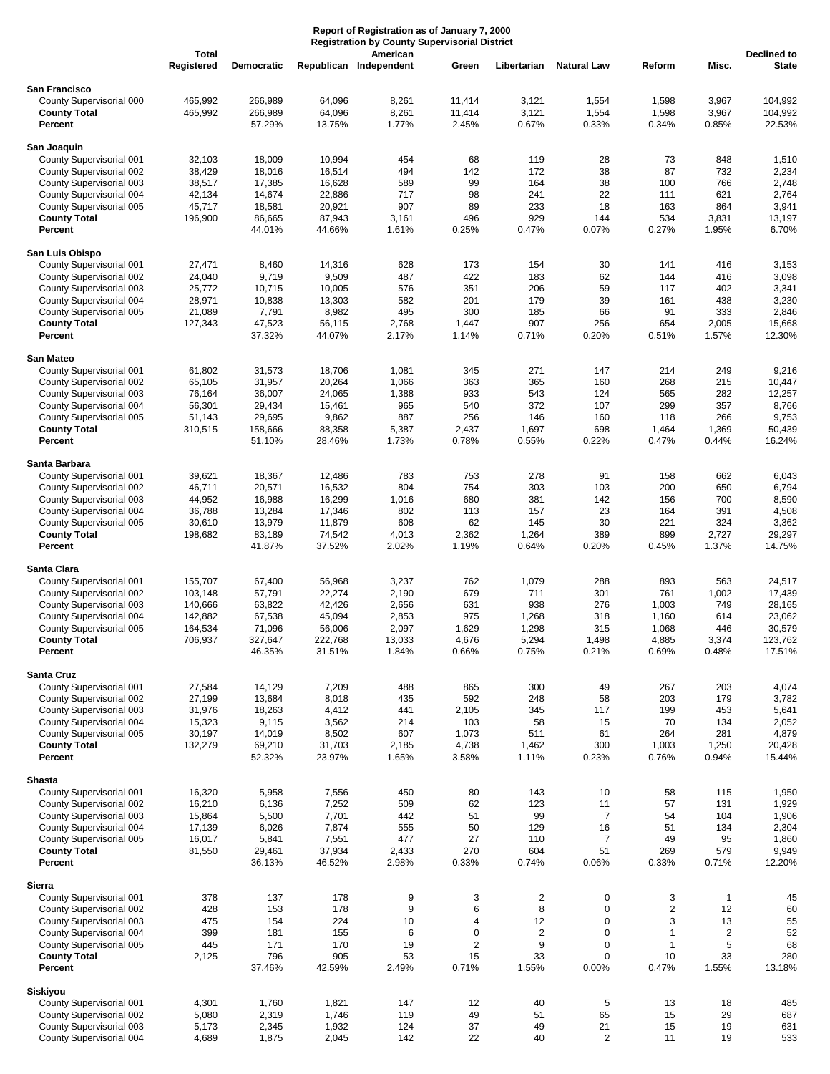|                                                                                                                                                                                               | Report of Registration as of January 7, 2000<br><b>Registration by County Supervisorial District</b><br>Total<br>American |                                                                     |                                                                     |                                                              |                                                       |                                                                 |                                                                   |                                                         |                                                                |                                                                     |
|-----------------------------------------------------------------------------------------------------------------------------------------------------------------------------------------------|---------------------------------------------------------------------------------------------------------------------------|---------------------------------------------------------------------|---------------------------------------------------------------------|--------------------------------------------------------------|-------------------------------------------------------|-----------------------------------------------------------------|-------------------------------------------------------------------|---------------------------------------------------------|----------------------------------------------------------------|---------------------------------------------------------------------|
|                                                                                                                                                                                               | Registered                                                                                                                | <b>Democratic</b>                                                   |                                                                     | Republican Independent                                       | Green                                                 | Libertarian                                                     | <b>Natural Law</b>                                                | Reform                                                  | Misc.                                                          | <b>Declined to</b><br><b>State</b>                                  |
| San Francisco<br>County Supervisorial 000<br><b>County Total</b><br>Percent                                                                                                                   | 465,992<br>465,992                                                                                                        | 266,989<br>266,989<br>57.29%                                        | 64,096<br>64,096<br>13.75%                                          | 8,261<br>8,261<br>1.77%                                      | 11,414<br>11,414<br>2.45%                             | 3,121<br>3,121<br>0.67%                                         | 1,554<br>1,554<br>0.33%                                           | 1,598<br>1,598<br>0.34%                                 | 3,967<br>3,967<br>0.85%                                        | 104,992<br>104,992<br>22.53%                                        |
| San Joaquin<br>County Supervisorial 001<br>County Supervisorial 002<br>County Supervisorial 003<br>County Supervisorial 004<br>County Supervisorial 005<br><b>County Total</b><br>Percent     | 32,103<br>38,429<br>38,517<br>42,134<br>45,717<br>196,900                                                                 | 18,009<br>18,016<br>17,385<br>14,674<br>18,581<br>86,665<br>44.01%  | 10,994<br>16,514<br>16,628<br>22,886<br>20,921<br>87,943<br>44.66%  | 454<br>494<br>589<br>717<br>907<br>3,161<br>1.61%            | 68<br>142<br>99<br>98<br>89<br>496<br>0.25%           | 119<br>172<br>164<br>241<br>233<br>929<br>0.47%                 | 28<br>38<br>38<br>22<br>18<br>144<br>0.07%                        | 73<br>87<br>100<br>111<br>163<br>534<br>0.27%           | 848<br>732<br>766<br>621<br>864<br>3,831<br>1.95%              | 1,510<br>2,234<br>2,748<br>2,764<br>3,941<br>13,197<br>6.70%        |
| San Luis Obispo<br>County Supervisorial 001<br>County Supervisorial 002<br>County Supervisorial 003<br>County Supervisorial 004<br>County Supervisorial 005<br><b>County Total</b><br>Percent | 27,471<br>24,040<br>25,772<br>28,971<br>21,089<br>127,343                                                                 | 8,460<br>9,719<br>10,715<br>10,838<br>7,791<br>47,523<br>37.32%     | 14,316<br>9,509<br>10,005<br>13,303<br>8,982<br>56,115<br>44.07%    | 628<br>487<br>576<br>582<br>495<br>2,768<br>2.17%            | 173<br>422<br>351<br>201<br>300<br>1,447<br>1.14%     | 154<br>183<br>206<br>179<br>185<br>907<br>0.71%                 | 30<br>62<br>59<br>39<br>66<br>256<br>0.20%                        | 141<br>144<br>117<br>161<br>91<br>654<br>0.51%          | 416<br>416<br>402<br>438<br>333<br>2,005<br>1.57%              | 3,153<br>3,098<br>3,341<br>3,230<br>2,846<br>15,668<br>12.30%       |
| San Mateo<br>County Supervisorial 001<br>County Supervisorial 002<br>County Supervisorial 003<br>County Supervisorial 004<br>County Supervisorial 005<br><b>County Total</b><br>Percent       | 61,802<br>65,105<br>76,164<br>56,301<br>51,143<br>310,515                                                                 | 31,573<br>31,957<br>36,007<br>29,434<br>29,695<br>158,666<br>51.10% | 18,706<br>20,264<br>24,065<br>15,461<br>9,862<br>88,358<br>28.46%   | 1,081<br>1,066<br>1,388<br>965<br>887<br>5,387<br>1.73%      | 345<br>363<br>933<br>540<br>256<br>2,437<br>0.78%     | 271<br>365<br>543<br>372<br>146<br>1,697<br>0.55%               | 147<br>160<br>124<br>107<br>160<br>698<br>0.22%                   | 214<br>268<br>565<br>299<br>118<br>1,464<br>0.47%       | 249<br>215<br>282<br>357<br>266<br>1,369<br>0.44%              | 9,216<br>10,447<br>12,257<br>8,766<br>9,753<br>50,439<br>16.24%     |
| Santa Barbara<br>County Supervisorial 001<br>County Supervisorial 002<br>County Supervisorial 003<br>County Supervisorial 004<br>County Supervisorial 005<br><b>County Total</b><br>Percent   | 39,621<br>46,711<br>44,952<br>36,788<br>30,610<br>198,682                                                                 | 18,367<br>20,571<br>16,988<br>13,284<br>13,979<br>83,189<br>41.87%  | 12,486<br>16,532<br>16,299<br>17,346<br>11,879<br>74,542<br>37.52%  | 783<br>804<br>1,016<br>802<br>608<br>4,013<br>2.02%          | 753<br>754<br>680<br>113<br>62<br>2,362<br>1.19%      | 278<br>303<br>381<br>157<br>145<br>1,264<br>0.64%               | 91<br>103<br>142<br>23<br>30<br>389<br>0.20%                      | 158<br>200<br>156<br>164<br>221<br>899<br>0.45%         | 662<br>650<br>700<br>391<br>324<br>2,727<br>1.37%              | 6,043<br>6,794<br>8,590<br>4,508<br>3,362<br>29,297<br>14.75%       |
| Santa Clara<br>County Supervisorial 001<br>County Supervisorial 002<br>County Supervisorial 003<br>County Supervisorial 004<br>County Supervisorial 005<br><b>County Total</b><br>Percent     | 155,707<br>103,148<br>140,666<br>142,882<br>164,534<br>706,937                                                            | 67,400<br>57,791<br>63,822<br>67,538<br>71,096<br>327,647<br>46.35% | 56,968<br>22,274<br>42,426<br>45,094<br>56,006<br>222,768<br>31.51% | 3,237<br>2,190<br>2,656<br>2,853<br>2,097<br>13,033<br>1.84% | 762<br>679<br>631<br>975<br>1,629<br>4,676<br>0.66%   | 1,079<br>711<br>938<br>1,268<br>1,298<br>5,294<br>0.75%         | 288<br>301<br>276<br>318<br>315<br>1,498<br>0.21%                 | 893<br>761<br>1,003<br>1,160<br>1,068<br>4,885<br>0.69% | 563<br>1,002<br>749<br>614<br>446<br>3,374<br>0.48%            | 24,517<br>17,439<br>28,165<br>23,062<br>30,579<br>123,762<br>17.51% |
| Santa Cruz<br>County Supervisorial 001<br>County Supervisorial 002<br>County Supervisorial 003<br>County Supervisorial 004<br>County Supervisorial 005<br><b>County Total</b><br>Percent      | 27,584<br>27,199<br>31,976<br>15,323<br>30,197<br>132,279                                                                 | 14,129<br>13,684<br>18,263<br>9,115<br>14,019<br>69,210<br>52.32%   | 7,209<br>8,018<br>4,412<br>3,562<br>8,502<br>31,703<br>23.97%       | 488<br>435<br>441<br>214<br>607<br>2,185<br>1.65%            | 865<br>592<br>2,105<br>103<br>1,073<br>4,738<br>3.58% | 300<br>248<br>345<br>58<br>511<br>1,462<br>1.11%                | 49<br>58<br>117<br>15<br>61<br>300<br>0.23%                       | 267<br>203<br>199<br>70<br>264<br>1,003<br>0.76%        | 203<br>179<br>453<br>134<br>281<br>1,250<br>0.94%              | 4,074<br>3,782<br>5,641<br>2,052<br>4,879<br>20,428<br>15.44%       |
| <b>Shasta</b><br>County Supervisorial 001<br>County Supervisorial 002<br>County Supervisorial 003<br>County Supervisorial 004<br>County Supervisorial 005<br><b>County Total</b><br>Percent   | 16,320<br>16,210<br>15,864<br>17,139<br>16,017<br>81,550                                                                  | 5,958<br>6,136<br>5,500<br>6,026<br>5,841<br>29,461<br>36.13%       | 7,556<br>7,252<br>7,701<br>7,874<br>7,551<br>37,934<br>46.52%       | 450<br>509<br>442<br>555<br>477<br>2,433<br>2.98%            | 80<br>62<br>51<br>50<br>27<br>270<br>0.33%            | 143<br>123<br>99<br>129<br>110<br>604<br>0.74%                  | 10<br>11<br>$\overline{7}$<br>16<br>$\overline{7}$<br>51<br>0.06% | 58<br>57<br>54<br>51<br>49<br>269<br>0.33%              | 115<br>131<br>104<br>134<br>95<br>579<br>0.71%                 | 1,950<br>1,929<br>1,906<br>2,304<br>1,860<br>9,949<br>12.20%        |
| Sierra<br>County Supervisorial 001<br>County Supervisorial 002<br>County Supervisorial 003<br>County Supervisorial 004<br>County Supervisorial 005<br><b>County Total</b><br>Percent          | 378<br>428<br>475<br>399<br>445<br>2,125                                                                                  | 137<br>153<br>154<br>181<br>171<br>796<br>37.46%                    | 178<br>178<br>224<br>155<br>170<br>905<br>42.59%                    | 9<br>9<br>10<br>6<br>19<br>53<br>2.49%                       | 3<br>6<br>4<br>$\pmb{0}$<br>2<br>15<br>0.71%          | $\overline{2}$<br>8<br>12<br>$\overline{2}$<br>9<br>33<br>1.55% | $\pmb{0}$<br>$\mathbf 0$<br>0<br>0<br>0<br>0<br>0.00%             | 3<br>2<br>3<br>1<br>1<br>10<br>0.47%                    | $\mathbf{1}$<br>12<br>13<br>$\overline{c}$<br>5<br>33<br>1.55% | 45<br>60<br>55<br>52<br>68<br>280<br>13.18%                         |
| Siskiyou<br>County Supervisorial 001<br>County Supervisorial 002<br>County Supervisorial 003<br>County Supervisorial 004                                                                      | 4,301<br>5,080<br>5,173<br>4,689                                                                                          | 1,760<br>2,319<br>2,345<br>1,875                                    | 1,821<br>1,746<br>1,932<br>2,045                                    | 147<br>119<br>124<br>142                                     | 12<br>49<br>37<br>22                                  | 40<br>51<br>49<br>40                                            | 5<br>65<br>21<br>$\overline{2}$                                   | 13<br>15<br>15<br>11                                    | 18<br>29<br>19<br>19                                           | 485<br>687<br>631<br>533                                            |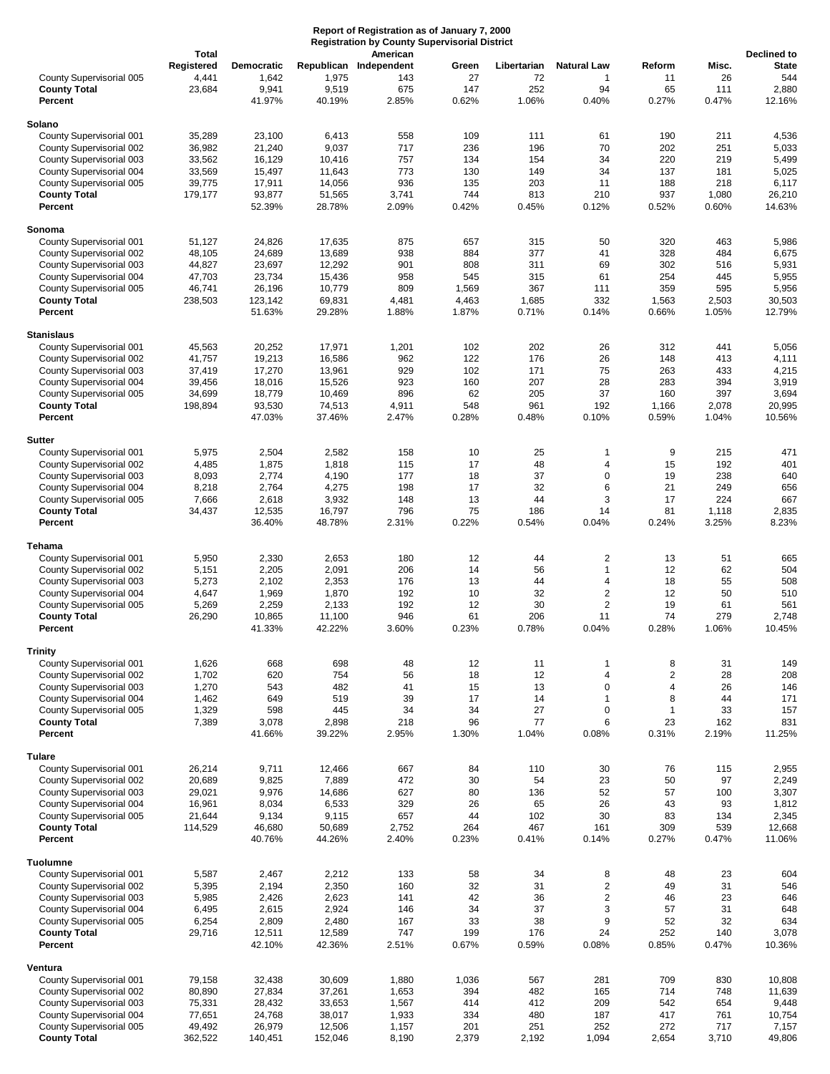|                                                      | Report of Registration as of January 7, 2000<br><b>Registration by County Supervisorial District</b><br><b>Total</b><br>American |                            |                  |                               |                |                   |                               |                         |                |                                    |
|------------------------------------------------------|----------------------------------------------------------------------------------------------------------------------------------|----------------------------|------------------|-------------------------------|----------------|-------------------|-------------------------------|-------------------------|----------------|------------------------------------|
| County Supervisorial 005                             | Registered<br>4,441                                                                                                              | <b>Democratic</b><br>1,642 | 1,975            | Republican Independent<br>143 | Green<br>27    | Libertarian<br>72 | <b>Natural Law</b><br>1       | Reform<br>11            | Misc.<br>26    | Declined to<br><b>State</b><br>544 |
| <b>County Total</b><br>Percent                       | 23,684                                                                                                                           | 9,941<br>41.97%            | 9,519<br>40.19%  | 675<br>2.85%                  | 147<br>0.62%   | 252<br>1.06%      | 94<br>0.40%                   | 65<br>0.27%             | 111<br>0.47%   | 2,880<br>12.16%                    |
| Solano                                               |                                                                                                                                  |                            |                  |                               |                |                   |                               |                         |                |                                    |
| County Supervisorial 001                             | 35,289                                                                                                                           | 23,100                     | 6,413            | 558                           | 109            | 111               | 61                            | 190                     | 211            | 4,536                              |
| County Supervisorial 002                             | 36,982                                                                                                                           | 21,240                     | 9,037            | 717                           | 236            | 196               | 70                            | 202                     | 251            | 5,033                              |
| County Supervisorial 003                             | 33,562                                                                                                                           | 16,129                     | 10,416           | 757                           | 134            | 154               | 34                            | 220                     | 219            | 5,499                              |
| County Supervisorial 004<br>County Supervisorial 005 | 33,569<br>39,775                                                                                                                 | 15,497<br>17,911           | 11,643<br>14,056 | 773<br>936                    | 130<br>135     | 149<br>203        | 34<br>11                      | 137<br>188              | 181<br>218     | 5,025<br>6,117                     |
| <b>County Total</b><br>Percent                       | 179,177                                                                                                                          | 93,877<br>52.39%           | 51,565<br>28.78% | 3,741<br>2.09%                | 744<br>0.42%   | 813<br>0.45%      | 210<br>0.12%                  | 937<br>0.52%            | 1,080<br>0.60% | 26,210<br>14.63%                   |
|                                                      |                                                                                                                                  |                            |                  |                               |                |                   |                               |                         |                |                                    |
| Sonoma<br>County Supervisorial 001                   | 51,127                                                                                                                           | 24,826                     | 17,635           | 875                           | 657            | 315               | 50                            | 320                     | 463            | 5,986                              |
| County Supervisorial 002                             | 48,105                                                                                                                           | 24,689                     | 13,689           | 938                           | 884            | 377               | 41                            | 328                     | 484            | 6,675                              |
| County Supervisorial 003                             | 44,827                                                                                                                           | 23,697                     | 12,292           | 901                           | 808            | 311               | 69                            | 302                     | 516            | 5,931                              |
| County Supervisorial 004                             | 47,703                                                                                                                           | 23,734                     | 15,436           | 958                           | 545            | 315               | 61                            | 254                     | 445            | 5,955                              |
| County Supervisorial 005<br><b>County Total</b>      | 46,741<br>238,503                                                                                                                | 26,196                     | 10,779           | 809                           | 1,569<br>4,463 | 367<br>1,685      | 111<br>332                    | 359                     | 595<br>2,503   | 5,956<br>30,503                    |
| Percent                                              |                                                                                                                                  | 123,142<br>51.63%          | 69,831<br>29.28% | 4,481<br>1.88%                | 1.87%          | 0.71%             | 0.14%                         | 1,563<br>0.66%          | 1.05%          | 12.79%                             |
| <b>Stanislaus</b>                                    |                                                                                                                                  |                            |                  |                               |                |                   |                               |                         |                |                                    |
| County Supervisorial 001                             | 45,563                                                                                                                           | 20,252                     | 17,971           | 1,201                         | 102            | 202               | 26                            | 312                     | 441            | 5,056                              |
| County Supervisorial 002                             | 41,757                                                                                                                           | 19,213                     | 16,586           | 962                           | 122            | 176               | 26                            | 148                     | 413            | 4,111                              |
| County Supervisorial 003                             | 37,419                                                                                                                           | 17,270                     | 13,961           | 929                           | 102<br>160     | 171               | 75                            | 263<br>283              | 433            | 4,215                              |
| County Supervisorial 004<br>County Supervisorial 005 | 39,456<br>34,699                                                                                                                 | 18,016<br>18,779           | 15,526<br>10,469 | 923<br>896                    | 62             | 207<br>205        | 28<br>37                      | 160                     | 394<br>397     | 3,919<br>3,694                     |
| <b>County Total</b>                                  | 198,894                                                                                                                          | 93,530                     | 74,513           | 4,911                         | 548            | 961               | 192                           | 1,166                   | 2,078          | 20,995                             |
| Percent                                              |                                                                                                                                  | 47.03%                     | 37.46%           | 2.47%                         | 0.28%          | 0.48%             | 0.10%                         | 0.59%                   | 1.04%          | 10.56%                             |
| Sutter                                               |                                                                                                                                  |                            |                  |                               |                |                   |                               |                         |                |                                    |
| County Supervisorial 001                             | 5,975                                                                                                                            | 2,504                      | 2,582            | 158                           | 10             | 25                | 1                             | 9                       | 215            | 471                                |
| County Supervisorial 002                             | 4,485                                                                                                                            | 1,875                      | 1,818            | 115                           | 17             | 48<br>37          | $\overline{4}$<br>$\mathbf 0$ | 15<br>19                | 192<br>238     | 401                                |
| County Supervisorial 003<br>County Supervisorial 004 | 8,093<br>8,218                                                                                                                   | 2,774<br>2,764             | 4,190<br>4,275   | 177<br>198                    | 18<br>17       | 32                | 6                             | 21                      | 249            | 640<br>656                         |
| County Supervisorial 005                             | 7,666                                                                                                                            | 2,618                      | 3,932            | 148                           | 13             | 44                | 3                             | 17                      | 224            | 667                                |
| <b>County Total</b>                                  | 34,437                                                                                                                           | 12,535                     | 16,797           | 796                           | 75             | 186               | 14                            | 81                      | 1,118          | 2,835                              |
| Percent                                              |                                                                                                                                  | 36.40%                     | 48.78%           | 2.31%                         | 0.22%          | 0.54%             | 0.04%                         | 0.24%                   | 3.25%          | 8.23%                              |
| Tehama                                               |                                                                                                                                  |                            |                  |                               |                |                   |                               |                         |                |                                    |
| County Supervisorial 001                             | 5,950                                                                                                                            | 2,330                      | 2,653            | 180                           | 12             | 44                | $\overline{c}$                | 13                      | 51             | 665                                |
| County Supervisorial 002<br>County Supervisorial 003 | 5,151<br>5,273                                                                                                                   | 2,205<br>2,102             | 2,091<br>2,353   | 206<br>176                    | 14<br>13       | 56<br>44          | $\mathbf{1}$<br>4             | 12<br>18                | 62<br>55       | 504<br>508                         |
| County Supervisorial 004                             | 4,647                                                                                                                            | 1,969                      | 1,870            | 192                           | 10             | 32                | $\overline{c}$                | 12                      | 50             | 510                                |
| County Supervisorial 005                             | 5,269                                                                                                                            | 2,259                      | 2,133            | 192                           | 12             | 30                | $\overline{2}$                | 19                      | 61             | 561                                |
| <b>County Total</b><br>Percent                       | 26,290                                                                                                                           | 10,865<br>41.33%           | 11,100<br>42.22% | 946<br>3.60%                  | 61<br>0.23%    | 206<br>0.78%      | 11<br>0.04%                   | 74<br>0.28%             | 279<br>1.06%   | 2,748<br>10.45%                    |
|                                                      |                                                                                                                                  |                            |                  |                               |                |                   |                               |                         |                |                                    |
| <b>Trinity</b><br>County Supervisorial 001           | 1,626                                                                                                                            | 668                        | 698              | 48                            | 12             | 11                | 1                             | 8                       | 31             | 149                                |
| County Supervisorial 002                             | 1,702                                                                                                                            | 620                        | 754              | 56                            | 18             | 12                | $\overline{4}$                | $\overline{\mathbf{c}}$ | 28             | 208                                |
| County Supervisorial 003                             | 1,270                                                                                                                            | 543                        | 482              | 41                            | 15             | 13                | $\mathbf 0$                   | 4                       | 26             | 146                                |
| County Supervisorial 004                             | 1,462                                                                                                                            | 649                        | 519              | 39                            | 17             | 14                | $\mathbf{1}$                  | 8                       | 44             | 171                                |
| County Supervisorial 005<br><b>County Total</b>      | 1,329<br>7,389                                                                                                                   | 598<br>3,078               | 445<br>2,898     | 34<br>218                     | 34<br>96       | 27<br>77          | $\mathbf 0$<br>6              | $\mathbf{1}$<br>23      | 33<br>162      | 157<br>831                         |
| Percent                                              |                                                                                                                                  | 41.66%                     | 39.22%           | 2.95%                         | 1.30%          | 1.04%             | 0.08%                         | 0.31%                   | 2.19%          | 11.25%                             |
| <b>Tulare</b>                                        |                                                                                                                                  |                            |                  |                               |                |                   |                               |                         |                |                                    |
| County Supervisorial 001                             | 26,214                                                                                                                           | 9,711                      | 12,466           | 667                           | 84             | 110               | 30                            | 76                      | 115            | 2,955                              |
| County Supervisorial 002                             | 20,689                                                                                                                           | 9,825                      | 7,889            | 472                           | 30             | 54                | 23                            | 50                      | 97             | 2,249                              |
| County Supervisorial 003                             | 29,021<br>16,961                                                                                                                 | 9,976<br>8,034             | 14,686<br>6,533  | 627<br>329                    | 80<br>26       | 136<br>65         | 52<br>26                      | 57<br>43                | 100<br>93      | 3,307<br>1,812                     |
| County Supervisorial 004<br>County Supervisorial 005 | 21,644                                                                                                                           | 9,134                      | 9,115            | 657                           | 44             | 102               | 30                            | 83                      | 134            | 2,345                              |
| <b>County Total</b>                                  | 114,529                                                                                                                          | 46,680                     | 50,689           | 2,752                         | 264            | 467               | 161                           | 309                     | 539            | 12,668                             |
| Percent                                              |                                                                                                                                  | 40.76%                     | 44.26%           | 2.40%                         | 0.23%          | 0.41%             | 0.14%                         | 0.27%                   | 0.47%          | 11.06%                             |
| <b>Tuolumne</b>                                      |                                                                                                                                  |                            |                  |                               |                |                   |                               |                         |                |                                    |
| County Supervisorial 001                             | 5,587                                                                                                                            | 2,467                      | 2,212            | 133                           | 58             | 34                | 8                             | 48                      | 23             | 604                                |
| County Supervisorial 002                             | 5,395                                                                                                                            | 2,194                      | 2,350            | 160                           | 32             | 31                | $\overline{c}$                | 49                      | 31             | 546                                |
| County Supervisorial 003<br>County Supervisorial 004 | 5,985<br>6,495                                                                                                                   | 2,426<br>2,615             | 2,623<br>2,924   | 141<br>146                    | 42<br>34       | 36<br>37          | $\overline{c}$<br>3           | 46<br>57                | 23<br>31       | 646<br>648                         |
| County Supervisorial 005                             | 6,254                                                                                                                            | 2,809                      | 2,480            | 167                           | 33             | 38                | 9                             | 52                      | 32             | 634                                |
| <b>County Total</b>                                  | 29,716                                                                                                                           | 12,511                     | 12,589           | 747                           | 199            | 176               | 24                            | 252                     | 140            | 3,078                              |
| Percent                                              |                                                                                                                                  | 42.10%                     | 42.36%           | 2.51%                         | 0.67%          | 0.59%             | 0.08%                         | 0.85%                   | 0.47%          | 10.36%                             |
| Ventura                                              |                                                                                                                                  |                            |                  |                               |                |                   |                               |                         |                |                                    |
| County Supervisorial 001                             | 79,158                                                                                                                           | 32,438                     | 30,609           | 1,880                         | 1,036          | 567               | 281                           | 709                     | 830            | 10,808                             |
| County Supervisorial 002<br>County Supervisorial 003 | 80,890<br>75,331                                                                                                                 | 27,834<br>28,432           | 37,261<br>33,653 | 1,653<br>1,567                | 394<br>414     | 482<br>412        | 165<br>209                    | 714<br>542              | 748<br>654     | 11,639<br>9,448                    |
| County Supervisorial 004                             | 77,651                                                                                                                           | 24,768                     | 38,017           | 1,933                         | 334            | 480               | 187                           | 417                     | 761            | 10,754                             |
| County Supervisorial 005                             | 49,492                                                                                                                           | 26,979                     | 12,506           | 1,157                         | 201            | 251               | 252                           | 272                     | 717            | 7,157                              |
| <b>County Total</b>                                  | 362,522                                                                                                                          | 140,451                    | 152,046          | 8,190                         | 2,379          | 2,192             | 1,094                         | 2,654                   | 3,710          | 49,806                             |